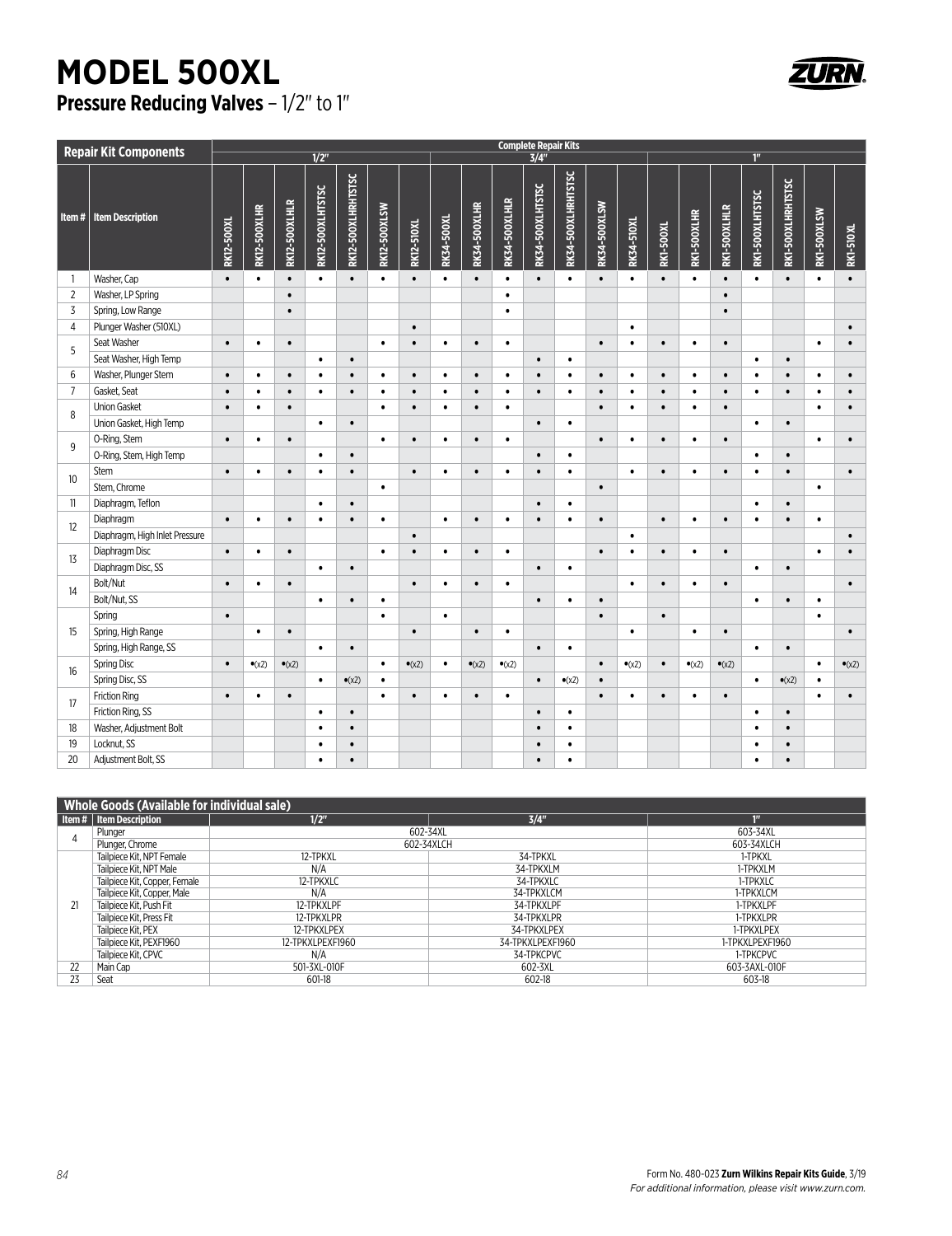## **MODEL 500XL Pressure Reducing Valves - 1/2" to 1"**



| <b>Repair Kit Components</b> |                                | <b>Complete Repair Kits</b> |                     |                |                  |                    |                     |                   |            |                     |                |                         |                    |              |                   |           |                |                |                 |                   |             |                  |
|------------------------------|--------------------------------|-----------------------------|---------------------|----------------|------------------|--------------------|---------------------|-------------------|------------|---------------------|----------------|-------------------------|--------------------|--------------|-------------------|-----------|----------------|----------------|-----------------|-------------------|-------------|------------------|
|                              |                                |                             |                     |                | $1/2$ "          |                    |                     |                   |            |                     |                | $\frac{3}{4}$           |                    |              |                   |           |                |                | 1 <sup>II</sup> |                   |             |                  |
| Item#                        | <b>Item Description</b>        | RK12-500XL                  | <b>RK12-500XLHR</b> | RK12-500XLHLR  | RK12-500XLHTSTSC | RK12-500XLHRHTSTSC | <b>RK12-500XLSW</b> | <b>RK12-510XL</b> | RK34-500XL | <b>RK34-500XLHR</b> | RK34-500XLHLR  | <b>RK34-500XLHTSTSC</b> | RK34-500XLHRHTSTSC | RK34-500XLSW | <b>RK34-510XL</b> | RK1-500XL | RK1-500XLHR    | RK1-500XLHLR   | RK1-500XLHTSTSC | RK1-500XLHRHTSTSC | RK1-500XLSW | <b>RK1-510XL</b> |
| $\overline{\phantom{a}}$     | Washer, Cap                    | $\bullet$                   | $\bullet$           | $\bullet$      | $\bullet$        | $\bullet$          | $\bullet$           | $\bullet$         | $\bullet$  | $\bullet$           | $\bullet$      | $\bullet$               | $\bullet$          | $\bullet$    | $\bullet$         | $\bullet$ | $\bullet$      | $\bullet$      | $\bullet$       | $\bullet$         | $\bullet$   | $\bullet$        |
| $\overline{2}$               | Washer, LP Spring              |                             |                     | $\bullet$      |                  |                    |                     |                   |            |                     | $\bullet$      |                         |                    |              |                   |           |                | $\bullet$      |                 |                   |             |                  |
| $\overline{3}$               | Spring, Low Range              |                             |                     | $\bullet$      |                  |                    |                     |                   |            |                     | $\bullet$      |                         |                    |              |                   |           |                | $\bullet$      |                 |                   |             |                  |
| $\overline{4}$               | Plunger Washer (510XL)         |                             |                     |                |                  |                    |                     | $\bullet$         |            |                     |                |                         |                    |              | $\bullet$         |           |                |                |                 |                   |             | $\bullet$        |
|                              | Seat Washer                    | $\bullet$                   | ٠                   | $\bullet$      |                  |                    | $\bullet$           | $\bullet$         | $\bullet$  | $\bullet$           | $\bullet$      |                         |                    | $\bullet$    | $\bullet$         | $\bullet$ | $\bullet$      | $\bullet$      |                 |                   | $\bullet$   | $\bullet$        |
| 5                            | Seat Washer, High Temp         |                             |                     |                | $\bullet$        | $\bullet$          |                     |                   |            |                     |                | $\bullet$               | $\bullet$          |              |                   |           |                |                | $\bullet$       | $\bullet$         |             |                  |
| 6                            | Washer, Plunger Stem           | $\bullet$                   | $\bullet$           | $\bullet$      | $\bullet$        | $\bullet$          | $\bullet$           | $\bullet$         | $\bullet$  | $\bullet$           | $\bullet$      | $\bullet$               | $\bullet$          | $\bullet$    | $\bullet$         | $\bullet$ | $\bullet$      | $\bullet$      | $\bullet$       | $\bullet$         | $\bullet$   | $\bullet$        |
| $\overline{7}$               | Gasket, Seat                   | $\bullet$                   | $\bullet$           | $\bullet$      | $\bullet$        | $\bullet$          | $\bullet$           | $\bullet$         | $\bullet$  | $\bullet$           | $\bullet$      | $\bullet$               | $\bullet$          | $\bullet$    | $\bullet$         | $\bullet$ | $\bullet$      | $\bullet$      | $\bullet$       | $\bullet$         | $\bullet$   | $\bullet$        |
| 8                            | <b>Union Gasket</b>            | $\bullet$                   | $\bullet$           | $\bullet$      |                  |                    | $\bullet$           | $\bullet$         | $\bullet$  | $\bullet$           | $\bullet$      |                         |                    | $\bullet$    | $\bullet$         | $\bullet$ | $\bullet$      | $\bullet$      |                 |                   | $\bullet$   | $\bullet$        |
|                              | Union Gasket, High Temp        |                             |                     |                | $\bullet$        | $\bullet$          |                     |                   |            |                     |                | $\bullet$               | $\bullet$          |              |                   |           |                |                | $\bullet$       | $\bullet$         |             |                  |
| 9                            | O-Ring, Stem                   | $\bullet$                   | $\bullet$           | $\bullet$      |                  |                    | $\bullet$           | $\bullet$         | $\bullet$  | $\bullet$           | $\bullet$      |                         |                    | $\bullet$    | $\bullet$         | $\bullet$ | $\bullet$      | $\bullet$      |                 |                   | $\bullet$   | $\bullet$        |
|                              | O-Ring, Stem, High Temp        |                             |                     |                | $\bullet$        | $\bullet$          |                     |                   |            |                     |                | $\bullet$               | $\bullet$          |              |                   |           |                |                | $\bullet$       | $\bullet$         |             |                  |
|                              | Stem                           | $\bullet$                   | $\bullet$           | $\bullet$      | $\bullet$        | $\bullet$          |                     | $\bullet$         | $\bullet$  | $\bullet$           | $\bullet$      | $\bullet$               | $\bullet$          |              | $\bullet$         | $\bullet$ | $\bullet$      | $\bullet$      | $\bullet$       | $\bullet$         |             | $\bullet$        |
| 10                           | Stem, Chrome                   |                             |                     |                |                  |                    | $\bullet$           |                   |            |                     |                |                         |                    | $\bullet$    |                   |           |                |                |                 |                   | $\bullet$   |                  |
| 11                           | Diaphragm, Teflon              |                             |                     |                | $\bullet$        | $\bullet$          |                     |                   |            |                     |                | $\bullet$               | $\bullet$          |              |                   |           |                |                | $\bullet$       | $\bullet$         |             |                  |
| 12                           | Diaphragm                      | $\bullet$                   | $\bullet$           | $\bullet$      | $\bullet$        | $\bullet$          | $\bullet$           |                   | $\bullet$  | $\bullet$           | ٠              | $\bullet$               | $\bullet$          | $\bullet$    |                   | $\bullet$ | $\bullet$      | $\bullet$      | ٠               | $\bullet$         | $\bullet$   |                  |
|                              | Diaphragm, High Inlet Pressure |                             |                     |                |                  |                    |                     | $\bullet$         |            |                     |                |                         |                    |              | $\bullet$         |           |                |                |                 |                   |             | $\bullet$        |
| 13                           | Diaphragm Disc                 | $\bullet$                   | $\bullet$           | $\bullet$      |                  |                    | $\bullet$           | $\bullet$         | $\bullet$  | $\bullet$           | $\bullet$      |                         |                    | $\bullet$    | $\bullet$         | $\bullet$ | $\bullet$      | $\bullet$      |                 |                   | $\bullet$   |                  |
|                              | Diaphragm Disc, SS             |                             |                     |                | $\bullet$        | $\bullet$          |                     |                   |            |                     |                | $\bullet$               | $\bullet$          |              |                   |           |                |                | $\bullet$       | $\bullet$         |             |                  |
| 14                           | Bolt/Nut                       | $\bullet$                   | $\bullet$           | $\bullet$      |                  |                    |                     | $\bullet$         | $\bullet$  | $\bullet$           | ٠              |                         |                    |              | $\bullet$         | $\bullet$ | $\bullet$      | $\bullet$      |                 |                   |             | $\bullet$        |
|                              | Bolt/Nut, SS                   |                             |                     |                | $\bullet$        | $\bullet$          | $\bullet$           |                   |            |                     |                | $\bullet$               | $\bullet$          | $\bullet$    |                   |           |                |                | $\bullet$       | $\bullet$         | $\bullet$   |                  |
|                              | Spring                         | $\bullet$                   |                     |                |                  |                    | $\bullet$           |                   | $\bullet$  |                     |                |                         |                    | $\bullet$    |                   | $\bullet$ |                |                |                 |                   | $\bullet$   |                  |
| 15                           | Spring, High Range             |                             | $\bullet$           | $\bullet$      |                  |                    |                     | $\bullet$         |            | $\bullet$           | $\bullet$      |                         |                    |              | $\bullet$         |           | $\bullet$      | $\bullet$      |                 |                   |             | $\bullet$        |
|                              | Spring, High Range, SS         |                             |                     |                | $\bullet$        | $\bullet$          |                     |                   |            |                     |                | $\bullet$               | $\bullet$          |              |                   |           |                |                | $\bullet$       | $\bullet$         |             |                  |
| 16                           | <b>Spring Disc</b>             | $\bullet$                   | $\bullet$ (x2)      | $\bullet$ (x2) |                  |                    | $\bullet$           | $\bullet$ (x2)    | $\bullet$  | $\bullet$ (x2)      | $\bullet$ (x2) |                         |                    | $\bullet$    | $\bullet$ (x2)    | $\bullet$ | $\bullet$ (x2) | $\bullet$ (x2) |                 |                   | $\bullet$   | $\bullet$ (x2)   |
|                              | Spring Disc, SS                |                             |                     |                | $\bullet$        | $\bullet$ (x2)     | $\bullet$           |                   |            |                     |                | $\bullet$               | $\bullet$ (x2)     | $\bullet$    |                   |           |                |                | $\bullet$       | $\bullet$ (x2)    | $\bullet$   |                  |
| 17                           | <b>Friction Ring</b>           | $\bullet$                   | ٠                   | $\bullet$      |                  |                    | $\bullet$           | $\bullet$         | $\bullet$  | $\bullet$           | $\bullet$      |                         |                    | $\bullet$    | $\bullet$         | $\bullet$ | $\bullet$      | $\bullet$      |                 |                   | $\bullet$   | $\bullet$        |
|                              | Friction Ring, SS              |                             |                     |                | $\bullet$        | $\bullet$          |                     |                   |            |                     |                | $\bullet$               | $\bullet$          |              |                   |           |                |                | $\bullet$       | $\bullet$         |             |                  |
| 18                           | Washer, Adjustment Bolt        |                             |                     |                | $\bullet$        | $\bullet$          |                     |                   |            |                     |                | $\bullet$               | $\bullet$          |              |                   |           |                |                | $\bullet$       | $\bullet$         |             |                  |
| 19                           | Locknut, SS                    |                             |                     |                | $\bullet$        | $\bullet$          |                     |                   |            |                     |                | $\bullet$               | $\bullet$          |              |                   |           |                |                | $\bullet$       | $\bullet$         |             |                  |
| 20                           | Adjustment Bolt, SS            |                             |                     |                | $\bullet$        | $\bullet$          |                     |                   |            |                     |                | $\bullet$               | $\bullet$          |              |                   |           |                |                | $\bullet$       | $\bullet$         |             |                  |

| <b>Whole Goods (Available for individual sale)</b> |                               |                  |                  |                 |  |  |  |  |  |
|----------------------------------------------------|-------------------------------|------------------|------------------|-----------------|--|--|--|--|--|
|                                                    | Item #   Item Description     | 1/2"             | 3/4"             | 1 <sup>n</sup>  |  |  |  |  |  |
|                                                    | Plunger                       | 602-34XL         |                  | 603-34XL        |  |  |  |  |  |
|                                                    | Plunger, Chrome               |                  | 602-34XLCH       | 603-34XLCH      |  |  |  |  |  |
| 21                                                 | Tailpiece Kit. NPT Female     | 12-TPKXL         | 34-TPKXL         | 1-TPKXL         |  |  |  |  |  |
|                                                    | Tailpiece Kit, NPT Male       | N/A              | 34-TPKXLM        | 1-TPKXLM        |  |  |  |  |  |
|                                                    | Tailpiece Kit, Copper, Female | 12-TPKXLC        | 34-TPKXLC        | 1-TPKXLC        |  |  |  |  |  |
|                                                    | Tailpiece Kit, Copper, Male   | N/A              | 34-TPKXLCM       | 1-TPKXLCM       |  |  |  |  |  |
|                                                    | Tailpiece Kit. Push Fit       | 12-TPKXLPF       | 34-TPKXLPF       | 1-TPKXLPF       |  |  |  |  |  |
|                                                    | Tailpiece Kit, Press Fit      | 12-TPKXLPR       | 34-TPKXLPR       | 1-TPKXLPR       |  |  |  |  |  |
|                                                    | Tailpiece Kit. PEX            | 12-TPKXLPEX      | 34-TPKXLPEX      | 1-TPKXLPEX      |  |  |  |  |  |
|                                                    | Tailpiece Kit, PEXF1960       | 12-TPKXLPEXF1960 | 34-TPKXLPEXF1960 | 1-TPKXLPEXF1960 |  |  |  |  |  |
|                                                    | Tailpiece Kit, CPVC           | N/A              | 34-TPKCPVC       | 1-TPKCPVC       |  |  |  |  |  |
| 22                                                 | Main Cap                      | 501-3XL-010F     | 602-3XL          | 603-3AXL-010F   |  |  |  |  |  |
| 23                                                 | Seat                          | 601-18           | 602-18           | 603-18          |  |  |  |  |  |